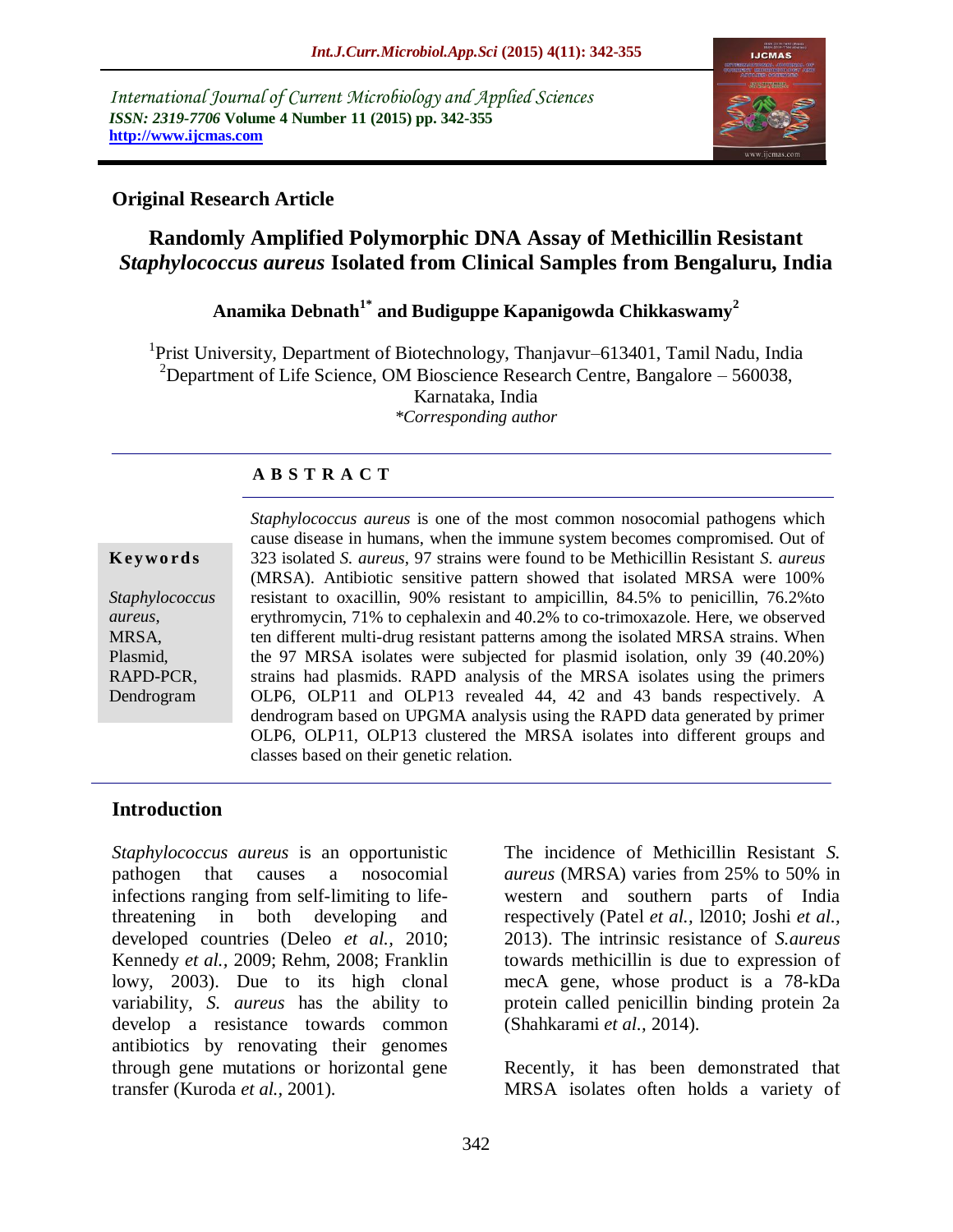*International Journal of Current Microbiology and Applied Sciences ISSN: 2319-7706* **Volume 4 Number 11 (2015) pp. 342-355 http://www.ijcmas.com** 



## **Original Research Article**

# **Randomly Amplified Polymorphic DNA Assay of Methicillin Resistant**  *Staphylococcus aureus* **Isolated from Clinical Samples from Bengaluru, India**

## **Anamika Debnath1\* and Budiguppe Kapanigowda Chikkaswamy<sup>2</sup>**

<sup>1</sup>Prist University, Department of Biotechnology, Thanjavur–613401, Tamil Nadu, India <sup>2</sup>Department of Life Science, OM Bioscience Research Centre, Bangalore – 560038, Karnataka, India *\*Corresponding author*

## **A B S T R A C T**

#### **K ey w o rd s**

*Staphylococcus aureus*, MRSA, Plasmid, RAPD-PCR, Dendrogram

*Staphylococcus aureus* is one of the most common nosocomial pathogens which cause disease in humans, when the immune system becomes compromised. Out of 323 isolated *S. aureus*, 97 strains were found to be Methicillin Resistant *S. aureus* (MRSA). Antibiotic sensitive pattern showed that isolated MRSA were 100% resistant to oxacillin, 90% resistant to ampicillin, 84.5% to penicillin, 76.2%to erythromycin, 71% to cephalexin and 40.2% to co-trimoxazole. Here, we observed ten different multi-drug resistant patterns among the isolated MRSA strains. When the 97 MRSA isolates were subjected for plasmid isolation, only 39 (40.20%) strains had plasmids. RAPD analysis of the MRSA isolates using the primers OLP6, OLP11 and OLP13 revealed 44, 42 and 43 bands respectively. A dendrogram based on UPGMA analysis using the RAPD data generated by primer OLP6, OLP11, OLP13 clustered the MRSA isolates into different groups and classes based on their genetic relation.

### **Introduction**

*Staphylococcus aureus* is an opportunistic pathogen that causes a nosocomial infections ranging from self-limiting to lifethreatening in both developing and developed countries (Deleo *et al.,* 2010; Kennedy *et al.,* 2009; Rehm, 2008; Franklin lowy, 2003). Due to its high clonal variability, *S. aureus* has the ability to develop a resistance towards common antibiotics by renovating their genomes through gene mutations or horizontal gene transfer (Kuroda *et al.,* 2001).

The incidence of Methicillin Resistant *S. aureus* (MRSA) varies from 25% to 50% in western and southern parts of India respectively (Patel *et al.,* l2010; Joshi *et al.,* 2013). The intrinsic resistance of *S.aureus* towards methicillin is due to expression of mecA gene, whose product is a 78-kDa protein called penicillin binding protein 2a (Shahkarami *et al.,* 2014).

Recently, it has been demonstrated that MRSA isolates often holds a variety of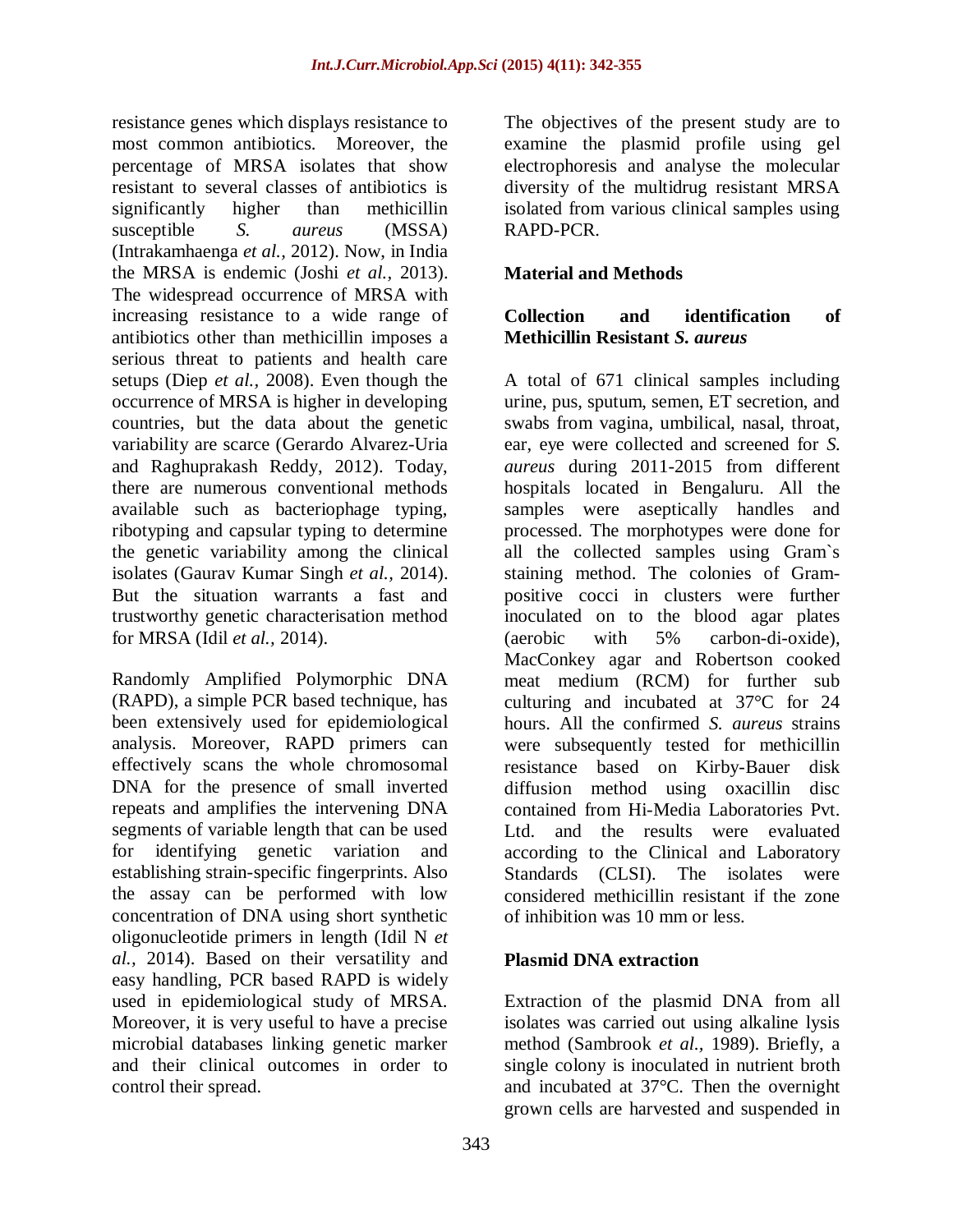resistance genes which displays resistance to most common antibiotics. Moreover, the percentage of MRSA isolates that show resistant to several classes of antibiotics is significantly higher than methicillin susceptible *S. aureus* (MSSA) (Intrakamhaenga *et al.,* 2012). Now, in India the MRSA is endemic (Joshi *et al.,* 2013). The widespread occurrence of MRSA with increasing resistance to a wide range of antibiotics other than methicillin imposes a serious threat to patients and health care setups (Diep *et al.,* 2008). Even though the occurrence of MRSA is higher in developing countries, but the data about the genetic variability are scarce (Gerardo Alvarez-Uria and Raghuprakash Reddy, 2012). Today, there are numerous conventional methods available such as bacteriophage typing, ribotyping and capsular typing to determine the genetic variability among the clinical isolates (Gaurav Kumar Singh *et al.,* 2014). But the situation warrants a fast and trustworthy genetic characterisation method for MRSA (Idil *et al.,* 2014).

Randomly Amplified Polymorphic DNA (RAPD), a simple PCR based technique, has been extensively used for epidemiological analysis. Moreover, RAPD primers can effectively scans the whole chromosomal DNA for the presence of small inverted repeats and amplifies the intervening DNA segments of variable length that can be used for identifying genetic variation and establishing strain-specific fingerprints. Also the assay can be performed with low concentration of DNA using short synthetic oligonucleotide primers in length (Idil N *et al.,* 2014). Based on their versatility and easy handling, PCR based RAPD is widely used in epidemiological study of MRSA. Moreover, it is very useful to have a precise microbial databases linking genetic marker and their clinical outcomes in order to control their spread.

The objectives of the present study are to examine the plasmid profile using gel electrophoresis and analyse the molecular diversity of the multidrug resistant MRSA isolated from various clinical samples using RAPD-PCR.

## **Material and Methods**

#### **Collection and identification of Methicillin Resistant** *S. aureus*

A total of 671 clinical samples including urine, pus, sputum, semen, ET secretion, and swabs from vagina, umbilical, nasal, throat, ear, eye were collected and screened for *S. aureus* during 2011-2015 from different hospitals located in Bengaluru. All the samples were aseptically handles and processed. The morphotypes were done for all the collected samples using Gram`s staining method. The colonies of Grampositive cocci in clusters were further inoculated on to the blood agar plates (aerobic with 5% carbon-di-oxide), MacConkey agar and Robertson cooked meat medium (RCM) for further sub culturing and incubated at 37°C for 24 hours. All the confirmed *S. aureus* strains were subsequently tested for methicillin resistance based on Kirby-Bauer disk diffusion method using oxacillin disc contained from Hi-Media Laboratories Pvt. Ltd. and the results were evaluated according to the Clinical and Laboratory Standards (CLSI). The isolates were considered methicillin resistant if the zone of inhibition was 10 mm or less.

### **Plasmid DNA extraction**

Extraction of the plasmid DNA from all isolates was carried out using alkaline lysis method (Sambrook *et al.,* 1989). Briefly, a single colony is inoculated in nutrient broth and incubated at 37°C. Then the overnight grown cells are harvested and suspended in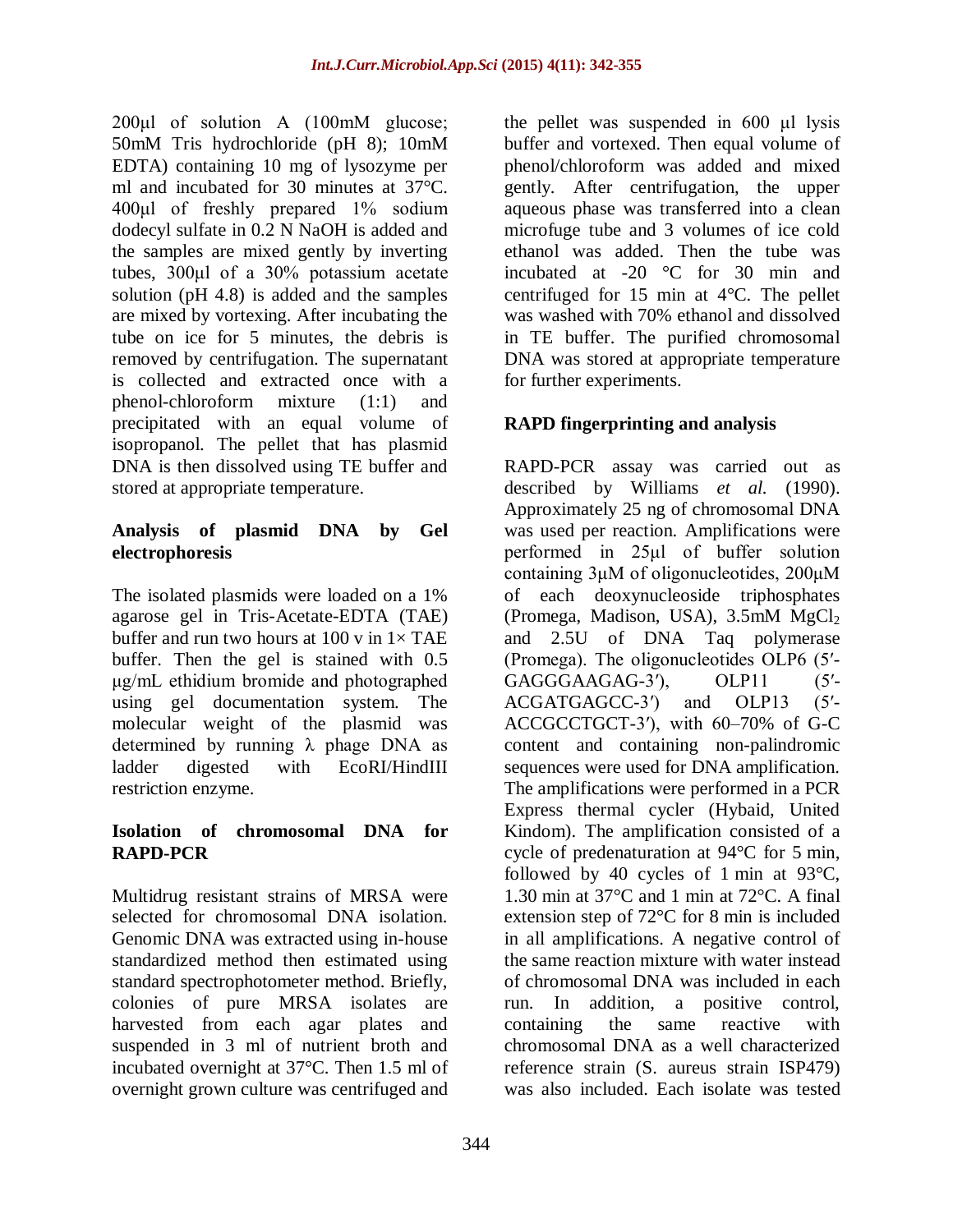200<sub>ul</sub> of solution A (100<sub>m</sub>M glucose; 50mM Tris hydrochloride (pH 8); 10mM EDTA) containing 10 mg of lysozyme per ml and incubated for 30 minutes at 37°C. 400μl of freshly prepared 1% sodium dodecyl sulfate in 0.2 N NaOH is added and the samples are mixed gently by inverting tubes, 300μl of a 30% potassium acetate solution (pH 4.8) is added and the samples are mixed by vortexing. After incubating the tube on ice for 5 minutes, the debris is removed by centrifugation. The supernatant is collected and extracted once with a phenol-chloroform mixture (1:1) and precipitated with an equal volume of isopropanol. The pellet that has plasmid DNA is then dissolved using TE buffer and stored at appropriate temperature.

## **Analysis of plasmid DNA by Gel electrophoresis**

The isolated plasmids were loaded on a 1% agarose gel in Tris-Acetate-EDTA (TAE) buffer and run two hours at 100 v in  $1 \times$  TAE buffer. Then the gel is stained with 0.5 μg/mL ethidium bromide and photographed using gel documentation system. The molecular weight of the plasmid was determined by running  $\lambda$  phage DNA as ladder digested with EcoRI/HindIII restriction enzyme.

### **Isolation of chromosomal DNA for RAPD-PCR**

Multidrug resistant strains of MRSA were selected for chromosomal DNA isolation. Genomic DNA was extracted using in-house standardized method then estimated using standard spectrophotometer method. Briefly, colonies of pure MRSA isolates are harvested from each agar plates and suspended in 3 ml of nutrient broth and incubated overnight at 37°C. Then 1.5 ml of overnight grown culture was centrifuged and the pellet was suspended in 600 μl lysis buffer and vortexed. Then equal volume of phenol/chloroform was added and mixed gently. After centrifugation, the upper aqueous phase was transferred into a clean microfuge tube and 3 volumes of ice cold ethanol was added. Then the tube was incubated at -20 °C for 30 min and centrifuged for 15 min at 4°C. The pellet was washed with 70% ethanol and dissolved in TE buffer. The purified chromosomal DNA was stored at appropriate temperature for further experiments.

## **RAPD fingerprinting and analysis**

RAPD-PCR assay was carried out as described by Williams *et al.* (1990). Approximately 25 ng of chromosomal DNA was used per reaction. Amplifications were performed in 25μl of buffer solution containing 3μM of oligonucleotides, 200μM of each deoxynucleoside triphosphates (Promega, Madison, USA), 3.5mM MgCl<sup>2</sup> and 2.5U of DNA Taq polymerase (Promega). The oligonucleotides OLP6 (5′- GAGGGAAGAG-3'), OLP11 (5'-ACGATGAGCC-3′) and OLP13 (5′- ACCGCCTGCT-3′), with 60–70% of G-C content and containing non-palindromic sequences were used for DNA amplification. The amplifications were performed in a PCR Express thermal cycler (Hybaid, United Kindom). The amplification consisted of a cycle of predenaturation at 94°C for 5 min, followed by 40 cycles of 1 min at 93°C, 1.30 min at 37°C and 1 min at 72°C. A final extension step of 72°C for 8 min is included in all amplifications. A negative control of the same reaction mixture with water instead of chromosomal DNA was included in each run. In addition, a positive control, containing the same reactive with chromosomal DNA as a well characterized reference strain (S. aureus strain ISP479) was also included. Each isolate was tested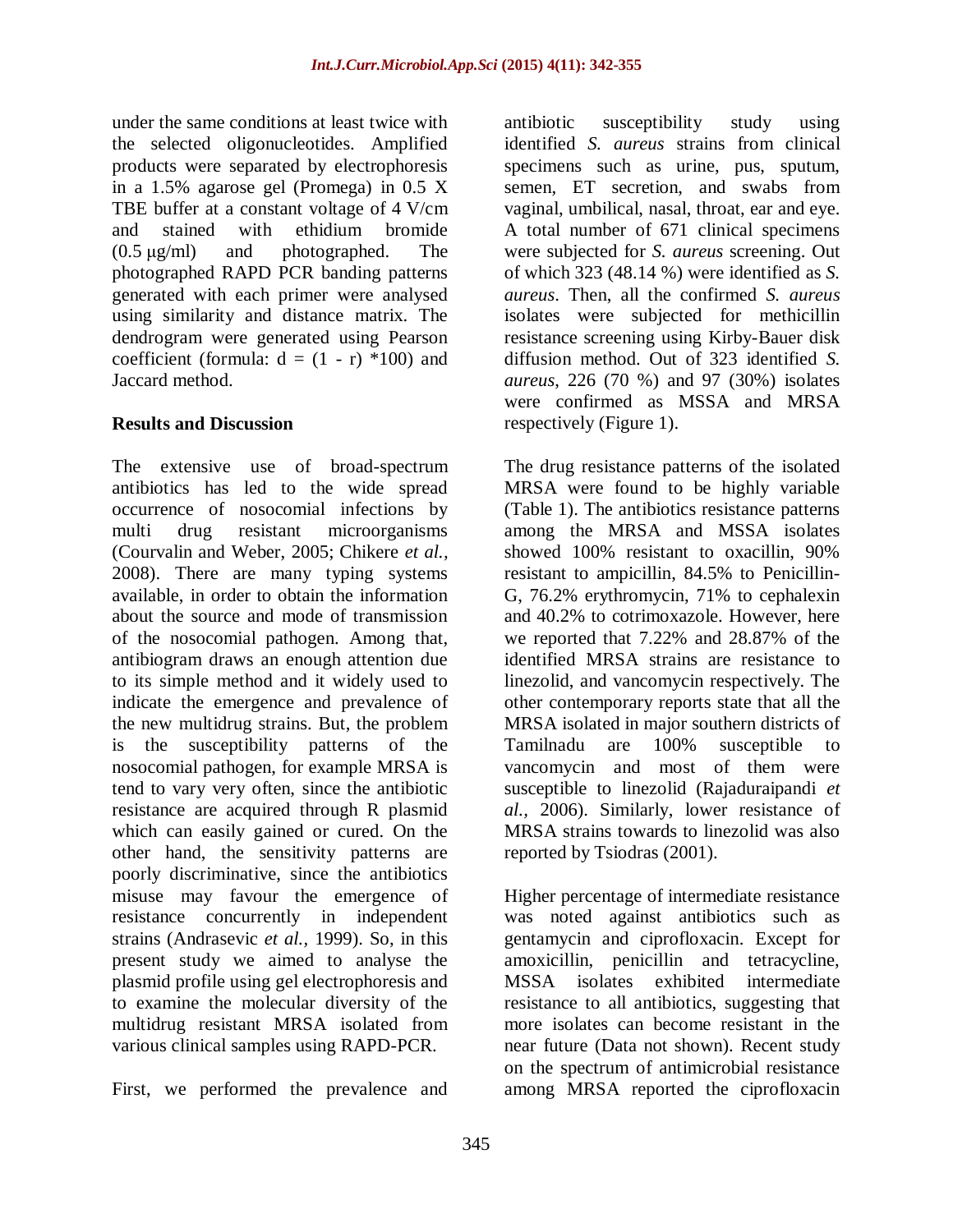under the same conditions at least twice with the selected oligonucleotides. Amplified products were separated by electrophoresis in a 1.5% agarose gel (Promega) in 0.5 X TBE buffer at a constant voltage of 4 V/cm and stained with ethidium bromide (0.5 μg/ml) and photographed. The photographed RAPD PCR banding patterns generated with each primer were analysed using similarity and distance matrix. The dendrogram were generated using Pearson coefficient (formula:  $d = (1 - r) *100$ ) and Jaccard method.

### **Results and Discussion**

The extensive use of broad-spectrum antibiotics has led to the wide spread occurrence of nosocomial infections by multi drug resistant microorganisms (Courvalin and Weber, 2005; Chikere *et al.,* 2008). There are many typing systems available, in order to obtain the information about the source and mode of transmission of the nosocomial pathogen. Among that, antibiogram draws an enough attention due to its simple method and it widely used to indicate the emergence and prevalence of the new multidrug strains. But, the problem is the susceptibility patterns of the nosocomial pathogen, for example MRSA is tend to vary very often, since the antibiotic resistance are acquired through R plasmid which can easily gained or cured. On the other hand, the sensitivity patterns are poorly discriminative, since the antibiotics misuse may favour the emergence of resistance concurrently in independent strains (Andrasevic *et al.,* 1999). So, in this present study we aimed to analyse the plasmid profile using gel electrophoresis and to examine the molecular diversity of the multidrug resistant MRSA isolated from various clinical samples using RAPD-PCR.

First, we performed the prevalence and

antibiotic susceptibility study using identified *S. aureus* strains from clinical specimens such as urine, pus, sputum, semen, ET secretion, and swabs from vaginal, umbilical, nasal, throat, ear and eye. A total number of 671 clinical specimens were subjected for *S. aureus* screening. Out of which 323 (48.14 %) were identified as *S. aureus*. Then, all the confirmed *S. aureus* isolates were subjected for methicillin resistance screening using Kirby-Bauer disk diffusion method. Out of 323 identified *S. aureus*, 226 (70 %) and 97 (30%) isolates were confirmed as MSSA and MRSA respectively (Figure 1).

The drug resistance patterns of the isolated MRSA were found to be highly variable (Table 1). The antibiotics resistance patterns among the MRSA and MSSA isolates showed 100% resistant to oxacillin, 90% resistant to ampicillin, 84.5% to Penicillin-G, 76.2% erythromycin, 71% to cephalexin and 40.2% to cotrimoxazole. However, here we reported that 7.22% and 28.87% of the identified MRSA strains are resistance to linezolid, and vancomycin respectively. The other contemporary reports state that all the MRSA isolated in major southern districts of Tamilnadu are 100% susceptible to vancomycin and most of them were susceptible to linezolid (Rajaduraipandi *et al.,* 2006). Similarly, lower resistance of MRSA strains towards to linezolid was also reported by Tsiodras (2001).

Higher percentage of intermediate resistance was noted against antibiotics such as gentamycin and ciprofloxacin. Except for amoxicillin, penicillin and tetracycline, MSSA isolates exhibited intermediate resistance to all antibiotics, suggesting that more isolates can become resistant in the near future (Data not shown). Recent study on the spectrum of antimicrobial resistance among MRSA reported the ciprofloxacin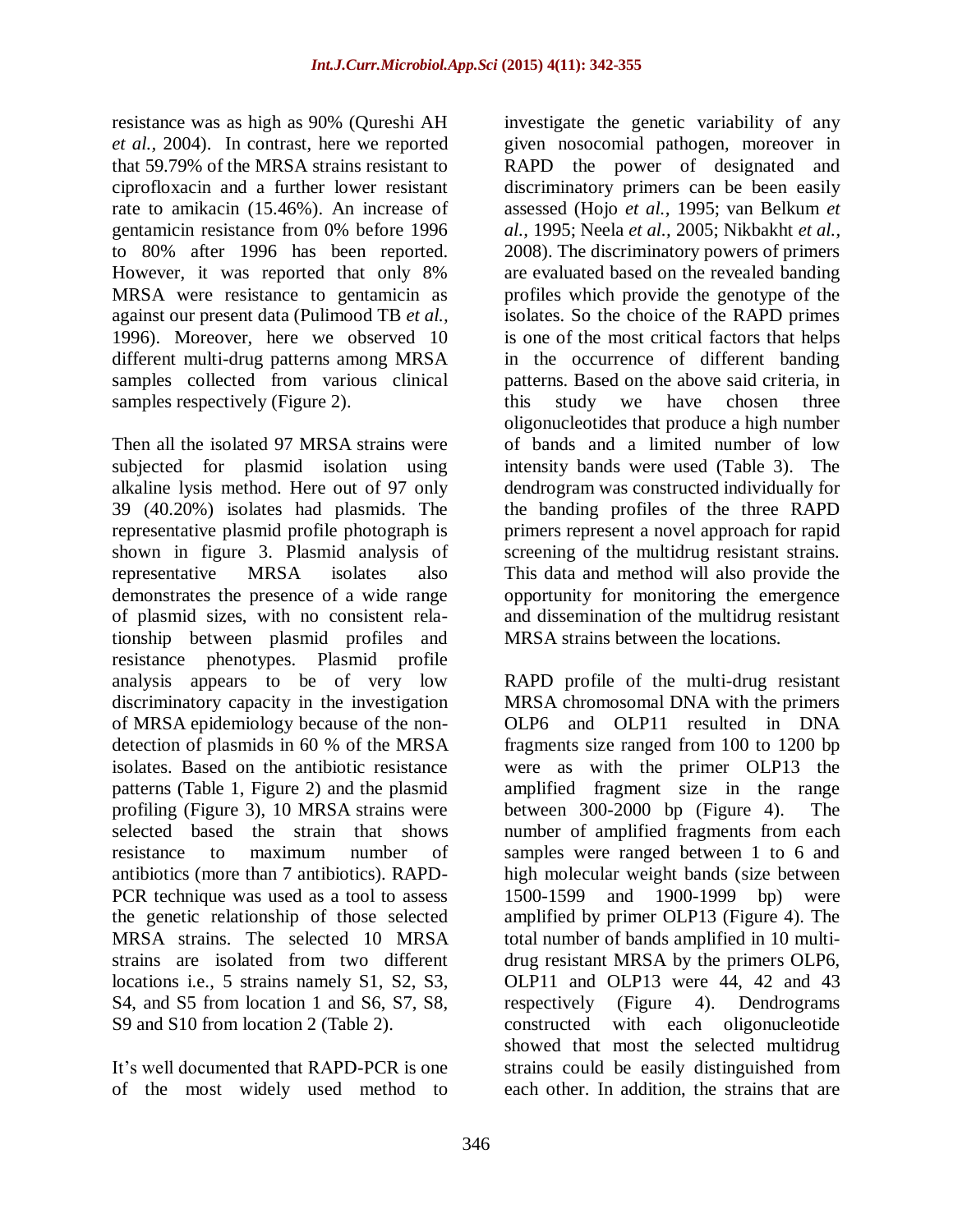resistance was as high as 90% (Qureshi AH *et al.,* 2004). In contrast, here we reported that 59.79% of the MRSA strains resistant to ciprofloxacin and a further lower resistant rate to amikacin (15.46%). An increase of gentamicin resistance from 0% before 1996 to 80% after 1996 has been reported. However, it was reported that only 8% MRSA were resistance to gentamicin as against our present data (Pulimood TB *et al.,* 1996). Moreover, here we observed 10 different multi-drug patterns among MRSA samples collected from various clinical samples respectively (Figure 2).

Then all the isolated 97 MRSA strains were subjected for plasmid isolation using alkaline lysis method. Here out of 97 only 39 (40.20%) isolates had plasmids. The representative plasmid profile photograph is shown in figure 3. Plasmid analysis of representative MRSA isolates also demonstrates the presence of a wide range of plasmid sizes, with no consistent relationship between plasmid profiles and resistance phenotypes. Plasmid profile analysis appears to be of very low discriminatory capacity in the investigation of MRSA epidemiology because of the nondetection of plasmids in 60 % of the MRSA isolates. Based on the antibiotic resistance patterns (Table 1, Figure 2) and the plasmid profiling (Figure 3), 10 MRSA strains were selected based the strain that shows resistance to maximum number of antibiotics (more than 7 antibiotics). RAPD-PCR technique was used as a tool to assess the genetic relationship of those selected MRSA strains. The selected 10 MRSA strains are isolated from two different locations i.e., 5 strains namely S1, S2, S3, S4, and S5 from location 1 and S6, S7, S8, S9 and S10 from location 2 (Table 2).

It's well documented that RAPD-PCR is one of the most widely used method to investigate the genetic variability of any given nosocomial pathogen, moreover in RAPD the power of designated and discriminatory primers can be been easily assessed (Hojo *et al.,* 1995; van Belkum *et al.,* 1995; Neela *et al.,* 2005; Nikbakht *et al.,* 2008). The discriminatory powers of primers are evaluated based on the revealed banding profiles which provide the genotype of the isolates. So the choice of the RAPD primes is one of the most critical factors that helps in the occurrence of different banding patterns. Based on the above said criteria, in this study we have chosen three oligonucleotides that produce a high number of bands and a limited number of low intensity bands were used (Table 3). The dendrogram was constructed individually for the banding profiles of the three RAPD primers represent a novel approach for rapid screening of the multidrug resistant strains. This data and method will also provide the opportunity for monitoring the emergence and dissemination of the multidrug resistant MRSA strains between the locations.

RAPD profile of the multi-drug resistant MRSA chromosomal DNA with the primers OLP6 and OLP11 resulted in DNA fragments size ranged from 100 to 1200 bp were as with the primer OLP13 the amplified fragment size in the range between 300-2000 bp (Figure 4). The number of amplified fragments from each samples were ranged between 1 to 6 and high molecular weight bands (size between 1500-1599 and 1900-1999 bp) were amplified by primer OLP13 (Figure 4). The total number of bands amplified in 10 multidrug resistant MRSA by the primers OLP6, OLP11 and OLP13 were 44, 42 and 43 respectively (Figure 4). Dendrograms constructed with each oligonucleotide showed that most the selected multidrug strains could be easily distinguished from each other. In addition, the strains that are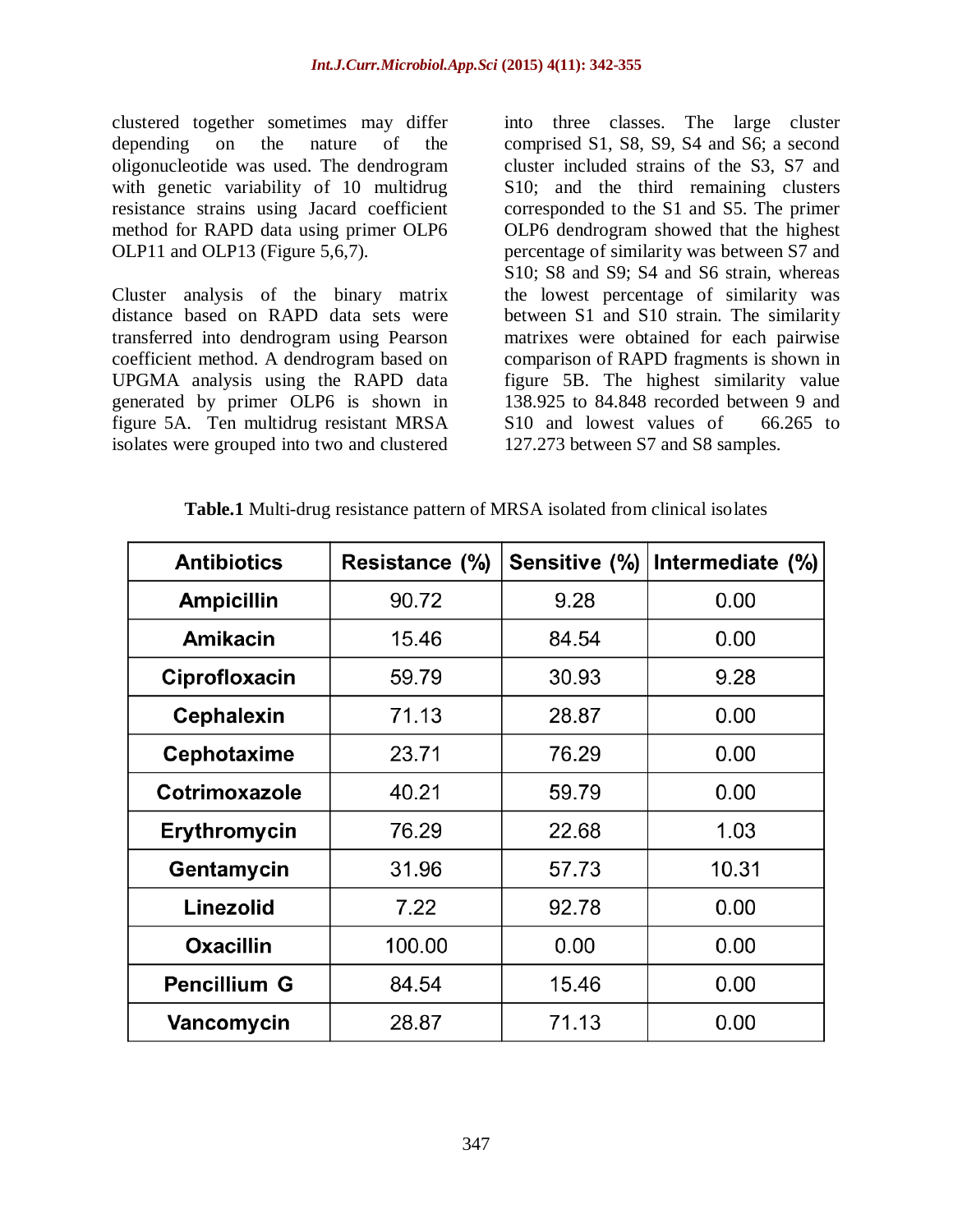clustered together sometimes may differ depending on the nature of the oligonucleotide was used. The dendrogram with genetic variability of 10 multidrug resistance strains using Jacard coefficient method for RAPD data using primer OLP6 OLP11 and OLP13 (Figure 5,6,7).

Cluster analysis of the binary matrix distance based on RAPD data sets were transferred into dendrogram using Pearson coefficient method. A dendrogram based on UPGMA analysis using the RAPD data generated by primer OLP6 is shown in figure 5A. Ten multidrug resistant MRSA isolates were grouped into two and clustered into three classes. The large cluster comprised S1, S8, S9, S4 and S6; a second cluster included strains of the S3, S7 and S10; and the third remaining clusters corresponded to the S1 and S5. The primer OLP6 dendrogram showed that the highest percentage of similarity was between S7 and S10; S8 and S9; S4 and S6 strain, whereas the lowest percentage of similarity was between S1 and S10 strain. The similarity matrixes were obtained for each pairwise comparison of RAPD fragments is shown in figure 5B. The highest similarity value 138.925 to 84.848 recorded between 9 and S10 and lowest values of 66.265 to 127.273 between S7 and S8 samples.

| <b>Antibiotics</b>  | Resistance (%) | Sensitive (%) | Intermediate (%) |
|---------------------|----------------|---------------|------------------|
| <b>Ampicillin</b>   | 90.72          | 9.28          | 0.00             |
| <b>Amikacin</b>     | 15.46          | 84.54         | 0.00             |
| Ciprofloxacin       | 59.79          | 30.93         | 9.28             |
| <b>Cephalexin</b>   | 71.13          | 28.87         | 0.00             |
| <b>Cephotaxime</b>  | 23.71          | 76.29         | 0.00             |
| Cotrimoxazole       | 40.21          | 59.79         | 0.00             |
| <b>Erythromycin</b> | 76.29          | 22.68         | 1.03             |
| Gentamycin          | 31.96          | 57.73         | 10.31            |
| Linezolid           | 7.22           | 92.78         | 0.00             |
| <b>Oxacillin</b>    | 100.00         | 0.00          | 0.00             |
| <b>Pencillium G</b> | 84.54          | 15.46         | 0.00             |
| Vancomycin          | 28.87          | 71.13         | 0.00             |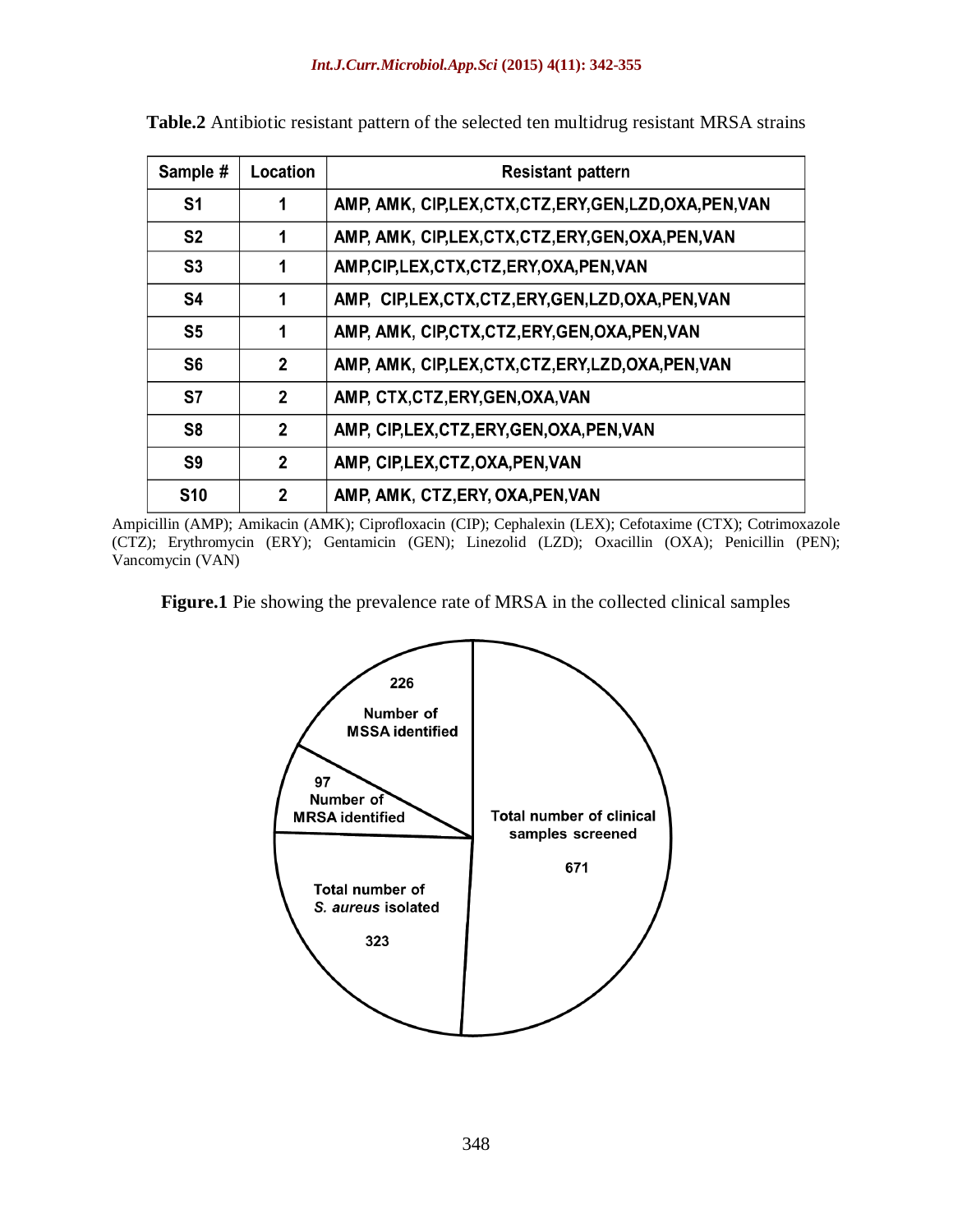| Sample #       | Location       | <b>Resistant pattern</b>                                  |
|----------------|----------------|-----------------------------------------------------------|
| S <sub>1</sub> | 1              | AMP, AMK, CIP,LEX, CTX, CTZ, ERY, GEN, LZD, OXA, PEN, VAN |
| S <sub>2</sub> | 1              | AMP, AMK, CIP, LEX, CTX, CTZ, ERY, GEN, OXA, PEN, VAN     |
| S <sub>3</sub> | 1              | AMP, CIP, LEX, CTX, CTZ, ERY, OXA, PEN, VAN               |
| S <sub>4</sub> | 1              | AMP, CIP, LEX, CTX, CTZ, ERY, GEN, LZD, OXA, PEN, VAN     |
| S <sub>5</sub> | 1              | AMP, AMK, CIP, CTX, CTZ, ERY, GEN, OXA, PEN, VAN          |
| S <sub>6</sub> | $\mathbf{2}$   | AMP, AMK, CIP, LEX, CTX, CTZ, ERY, LZD, OXA, PEN, VAN     |
| <b>S7</b>      | $\mathbf{2}$   | AMP, CTX, CTZ, ERY, GEN, OXA, VAN                         |
| S <sub>8</sub> | 2              | AMP, CIP, LEX, CTZ, ERY, GEN, OXA, PEN, VAN               |
| S <sub>9</sub> | $\mathbf{2}$   | AMP, CIP, LEX, CTZ, OXA, PEN, VAN                         |
| <b>S10</b>     | $\overline{2}$ | AMP, AMK, CTZ, ERY, OXA, PEN, VAN                         |

**Table.2** Antibiotic resistant pattern of the selected ten multidrug resistant MRSA strains

Ampicillin (AMP); Amikacin (AMK); Ciprofloxacin (CIP); Cephalexin (LEX); Cefotaxime (CTX); Cotrimoxazole (CTZ); Erythromycin (ERY); Gentamicin (GEN); Linezolid (LZD); Oxacillin (OXA); Penicillin (PEN); Vancomycin (VAN)

**Figure.1** Pie showing the prevalence rate of MRSA in the collected clinical samples

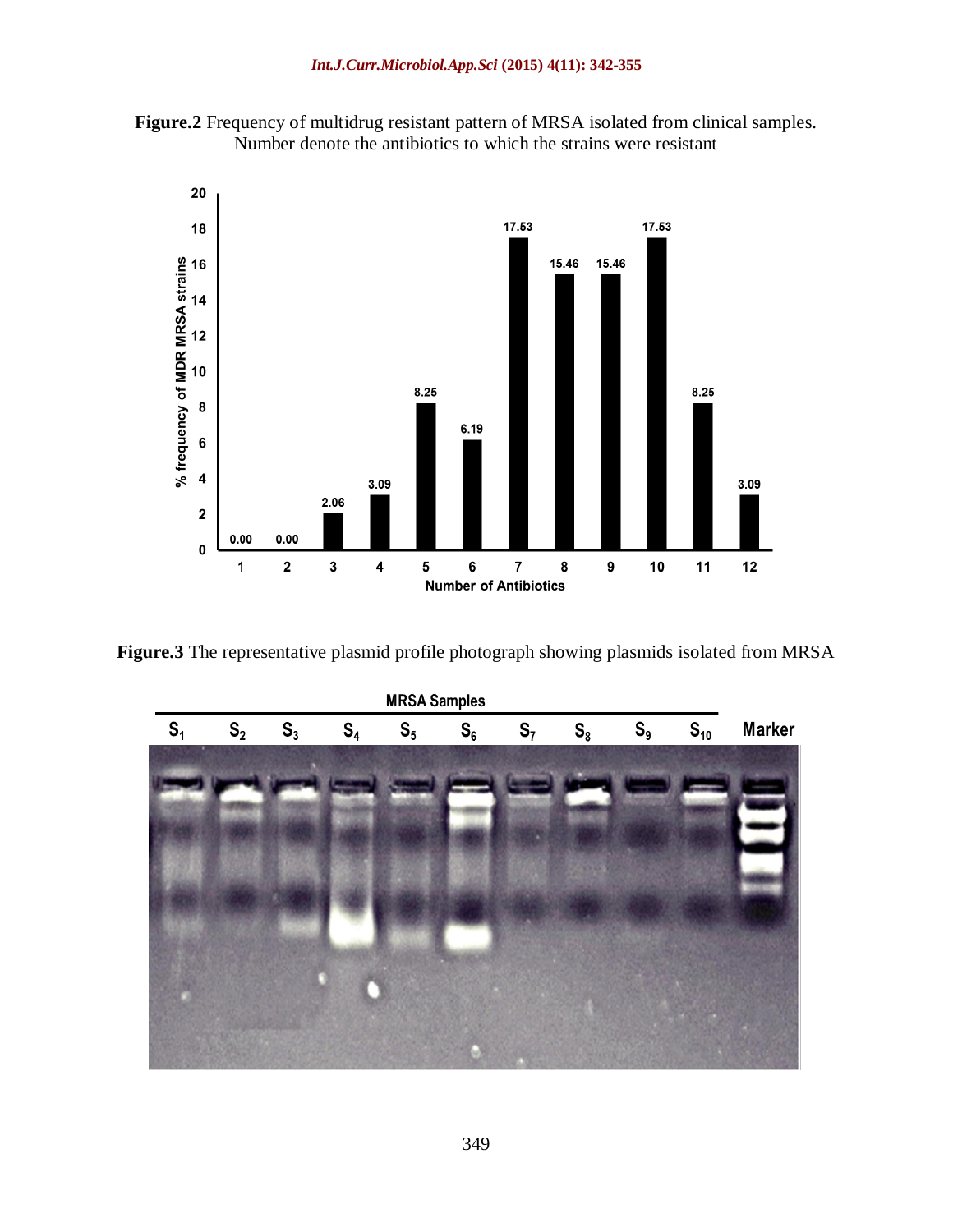



**Figure.3** The representative plasmid profile photograph showing plasmids isolated from MRSA

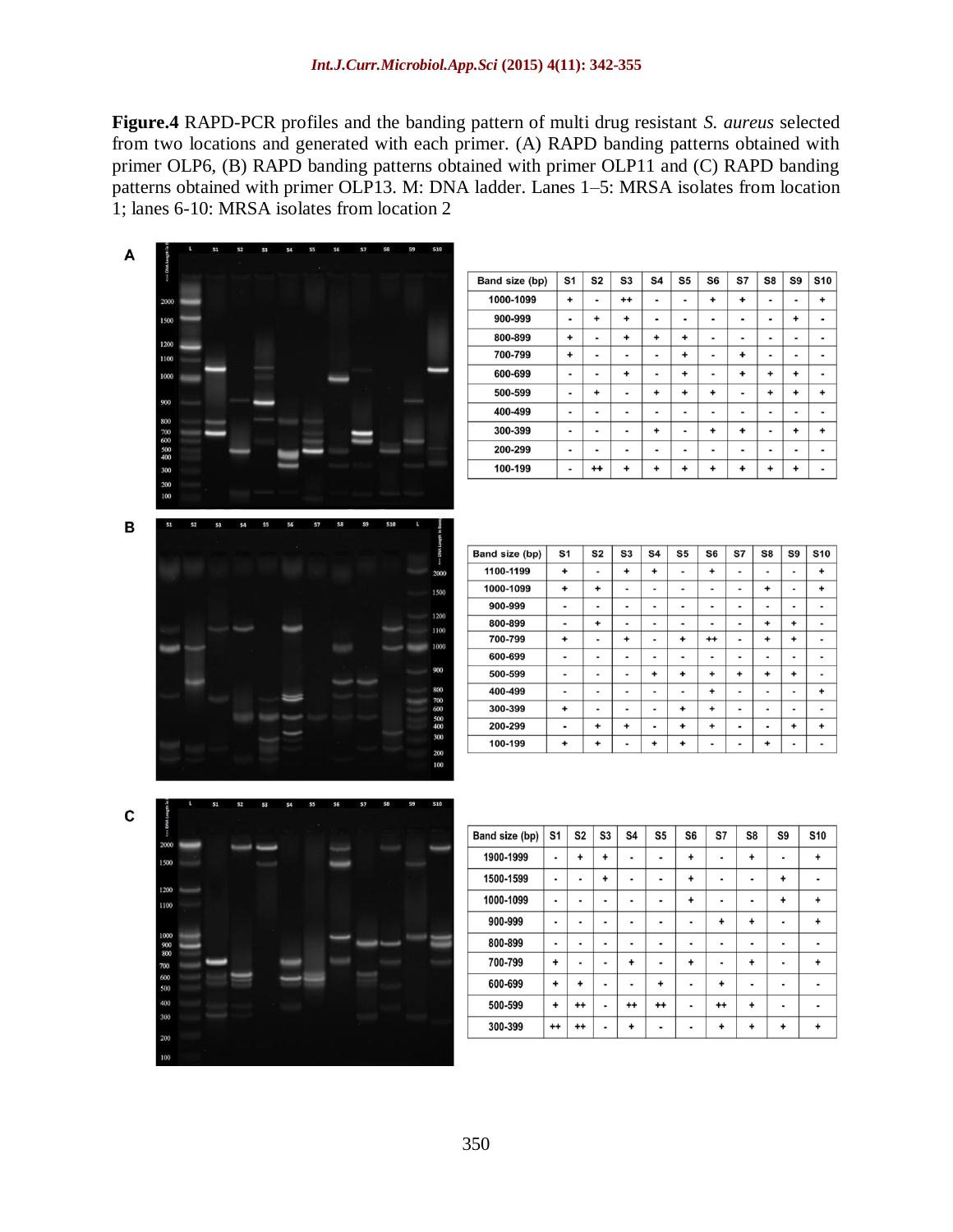**Figure.4** RAPD-PCR profiles and the banding pattern of multi drug resistant *S. aureus* selected from two locations and generated with each primer. (A) RAPD banding patterns obtained with primer OLP6, (B) RAPD banding patterns obtained with primer OLP11 and (C) RAPD banding patterns obtained with primer OLP13. M: DNA ladder. Lanes 1–5: MRSA isolates from location 1; lanes 6-10: MRSA isolates from location 2

> $\overline{\mathbf{s}7}$  $\overline{\text{S8}}$  $\overline{\mathbf{s}}$  $s_{10}$

 $\pmb{\mathbf{+}}$  $\Box$ 

 $\overline{a}$  $\overline{a}$ 

 $\overline{\phantom{a}}$  $\blacksquare$ 

 $\ddot{}$ 

 $\pmb{+}$  $\ddot{}$  $\ddot{}$  $\blacksquare$ 

 $\overline{a}$ 

 $\overline{\phantom{a}}$  $\overline{\phantom{a}}$  $\overline{a}$ 

 $\pmb{\mathbf{+}}$  $\overline{\phantom{a}}$  $\pmb{\mathbf{+}}$  $\ddot{}$ 

 $\overline{\phantom{a}}$ ä,

 $\ddot{}$  $\ddot{}$  $\ddot{}$  $\Box$ 

**S7** S8 S9 **S10** 

÷, L.  $\overline{\phantom{a}}$  $\ddot{}$ 

Ξ Ŧ τ Ŧ

 $\overline{a}$  $\overline{a}$  $\mathbb{Z}$ 

 $\mathbf{r}$  $\overline{+}$  $\overline{+}$ L.

÷.  $\ddot{\phantom{1}}$  $\ddot{}$ ä,

 $\overline{a}$ L. ÷,  $\overline{\phantom{a}}$ 

 $\ddot{}$  $\ddot{}$  $\ddot{}$ l,

l, ä, Ξ

 $\overline{a}$  $\blacksquare$  $\overline{\phantom{a}}$  $\overline{a}$ 

 $\mathbb{Z}^2$  $\blacksquare$  $\pmb{\mathbf{+}}$  $\ddot{}$ 

 $\overline{a}$ 

S8

 $\pmb{+}$ 

 $\blacksquare$  $\pmb{+}$ 

 $\overline{\phantom{a}}$ 

 $\ddot{}$ 

 $\blacksquare$  $\overline{a}$ 

 $\ddot{\phantom{1}}$ 

t,

 $\ddot{}$  $\blacksquare$ 

 $\pmb{+}$  $\ddot{}$ 

 $\overline{\phantom{0}}$ 

÷,  $\overline{\phantom{a}}$ 

S9

 $\blacksquare$ 

 $\pmb{+}$ 

 $\blacksquare$ 

 $\blacksquare$ 

 $\overline{a}$ 

 $\overline{\phantom{a}}$ ä,

 $\overline{+}$  $\overline{+}$  $\overline{+}$ 

 $\ddot{}$  $\overline{a}$ 

L,

L,

Ĭ.

ä,

 $\overline{a}$ 

 $\overline{\phantom{0}}$ 

**S10** 

 $\ddot{}$ 

 $\blacksquare$ 

 $\ddot{}$ 

 $\ddot{\phantom{1}}$ 

÷

 $\ddot{}$ 

L.

 $\blacksquare$ 

 $\ddot{}$ 

 $\ddot{+}$ L.

l,

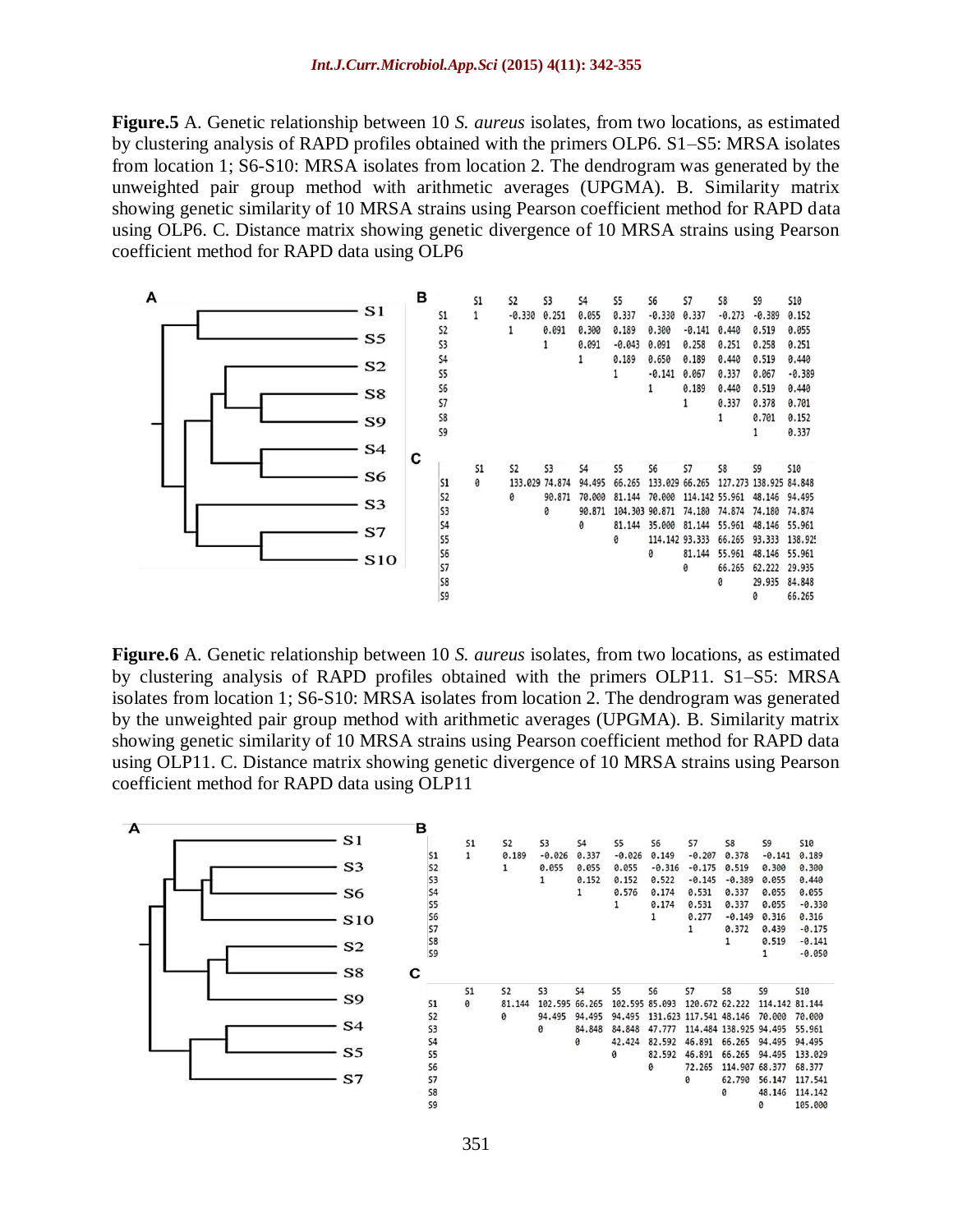**Figure.5** A. Genetic relationship between 10 *S. aureus* isolates, from two locations, as estimated by clustering analysis of RAPD profiles obtained with the primers OLP6. S1–S5: MRSA isolates from location 1; S6-S10: MRSA isolates from location 2. The dendrogram was generated by the unweighted pair group method with arithmetic averages (UPGMA). B. Similarity matrix showing genetic similarity of 10 MRSA strains using Pearson coefficient method for RAPD data using OLP6. C. Distance matrix showing genetic divergence of 10 MRSA strains using Pearson coefficient method for RAPD data using OLP6



**Figure.6** A. Genetic relationship between 10 *S. aureus* isolates, from two locations, as estimated by clustering analysis of RAPD profiles obtained with the primers OLP11. S1–S5: MRSA isolates from location 1; S6-S10: MRSA isolates from location 2. The dendrogram was generated by the unweighted pair group method with arithmetic averages (UPGMA). B. Similarity matrix showing genetic similarity of 10 MRSA strains using Pearson coefficient method for RAPD data using OLP11. C. Distance matrix showing genetic divergence of 10 MRSA strains using Pearson coefficient method for RAPD data using OLP11

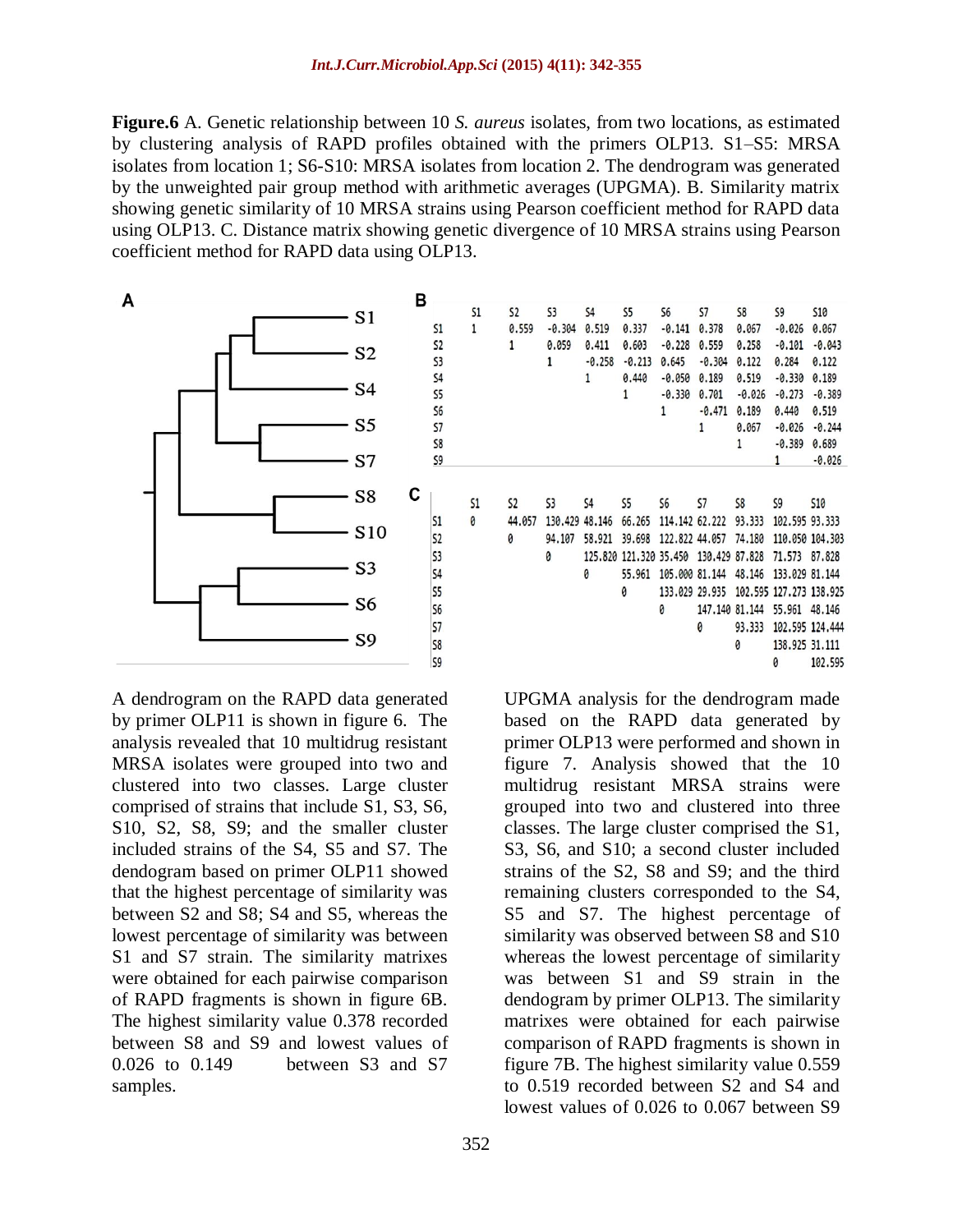**Figure.6** A. Genetic relationship between 10 *S. aureus* isolates, from two locations, as estimated by clustering analysis of RAPD profiles obtained with the primers OLP13. S1–S5: MRSA isolates from location 1; S6-S10: MRSA isolates from location 2. The dendrogram was generated by the unweighted pair group method with arithmetic averages (UPGMA). B. Similarity matrix showing genetic similarity of 10 MRSA strains using Pearson coefficient method for RAPD data using OLP13. C. Distance matrix showing genetic divergence of 10 MRSA strains using Pearson coefficient method for RAPD data using OLP13.



A dendrogram on the RAPD data generated by primer OLP11 is shown in figure 6. The analysis revealed that 10 multidrug resistant MRSA isolates were grouped into two and clustered into two classes. Large cluster comprised of strains that include S1, S3, S6, S10, S2, S8, S9; and the smaller cluster included strains of the S4, S5 and S7. The dendogram based on primer OLP11 showed that the highest percentage of similarity was between S2 and S8; S4 and S5, whereas the lowest percentage of similarity was between S1 and S7 strain. The similarity matrixes were obtained for each pairwise comparison of RAPD fragments is shown in figure 6B. The highest similarity value 0.378 recorded between S8 and S9 and lowest values of 0.026 to 0.149 between S3 and S7 samples.

|           | <b>S1</b> | <b>S2</b>      | 53       | 54                | 55                     | S6               | 57               | 58       | S9                      | <b>S10</b>      |
|-----------|-----------|----------------|----------|-------------------|------------------------|------------------|------------------|----------|-------------------------|-----------------|
| 51        | 1         | 0.559          | $-0.304$ | 0.519             | 0.337                  | $-0.141$         | 0.378            | 0.067    | $-0.026$                | 0.067           |
| <b>S2</b> |           | $\mathbf{1}$   | 0.059    |                   |                        | $-0.228$         | 0.559            | 0.258    | $-0.101$                | $-0.043$        |
| 53        |           |                | 1        | 0.411<br>$-0.258$ | 0.603                  |                  |                  |          |                         | 0.122           |
|           |           |                |          |                   | $-0.213$               | 0.645            | $-0.304$         | 0.122    | 0.284                   |                 |
| \$4       |           |                |          | 1                 | 0.440                  | $-0.050$         | 0.189            | 0.519    | $-0.330$                | 0.189           |
| 55        |           |                |          |                   | 1                      | $-0.330$         | 0.701            | $-0.026$ | $-0.273$                | $-0.389$        |
| 56        |           |                |          |                   |                        | $\mathbf{1}$     | $-0.471$         | 0.189    | 0.440                   | 0.519           |
| 57        |           |                |          |                   |                        |                  | 1                | 0.067    | $-0.026$                | $-0.244$        |
| 58        |           |                |          |                   |                        |                  |                  | 1        | $-0.389$                | 0.689           |
| S9        |           |                |          |                   |                        |                  |                  |          | $\mathbf{1}$            | $-0.026$        |
|           |           |                |          |                   |                        |                  |                  |          |                         |                 |
|           | 51        | S <sub>2</sub> | 53       | \$4               | S <sub>5</sub>         | S6               | 57               | S8       | S9                      | <b>S10</b>      |
|           |           |                |          |                   |                        |                  |                  |          |                         |                 |
| 51        | 0         | 44,057         | 130,429  | 48,146            | 66,265                 | 114, 142 62, 222 |                  | 93.333   | 102,595 93,333          |                 |
| <b>S2</b> |           | 0              | 94,107   | 58,921            | 39,698                 | 122,822 44,057   |                  | 74,180   |                         | 110.050 104.303 |
| 53        |           |                | 0        |                   | 125.820 121.320 35.450 |                  | 130,429 87,828   |          | 71,573                  | 87,828          |
| \$4       |           |                |          | 0                 | 55,961                 | 105,000 81,144   |                  | 48,146   | 133.029 81.144          |                 |
| 55        |           |                |          |                   | 0                      | 133.029 29.935   |                  |          | 102.595 127.273 138.925 |                 |
| <b>S6</b> |           |                |          |                   |                        | 0                | 147, 140 81, 144 |          | 55.961 48.146           |                 |
| 57        |           |                |          |                   |                        |                  | 0                | 93.333   |                         | 102.595 124.444 |
| 58        |           |                |          |                   |                        |                  |                  | 0        | 138,925 31,111          |                 |
| 59        |           |                |          |                   |                        |                  |                  |          | ø                       | 102.595         |

UPGMA analysis for the dendrogram made based on the RAPD data generated by primer OLP13 were performed and shown in figure 7. Analysis showed that the 10 multidrug resistant MRSA strains were grouped into two and clustered into three classes. The large cluster comprised the S1, S3, S6, and S10; a second cluster included strains of the S2, S8 and S9; and the third remaining clusters corresponded to the S4, S5 and S7. The highest percentage of similarity was observed between S8 and S10 whereas the lowest percentage of similarity was between S1 and S9 strain in the dendogram by primer OLP13. The similarity matrixes were obtained for each pairwise comparison of RAPD fragments is shown in figure 7B. The highest similarity value 0.559 to 0.519 recorded between S2 and S4 and lowest values of 0.026 to 0.067 between S9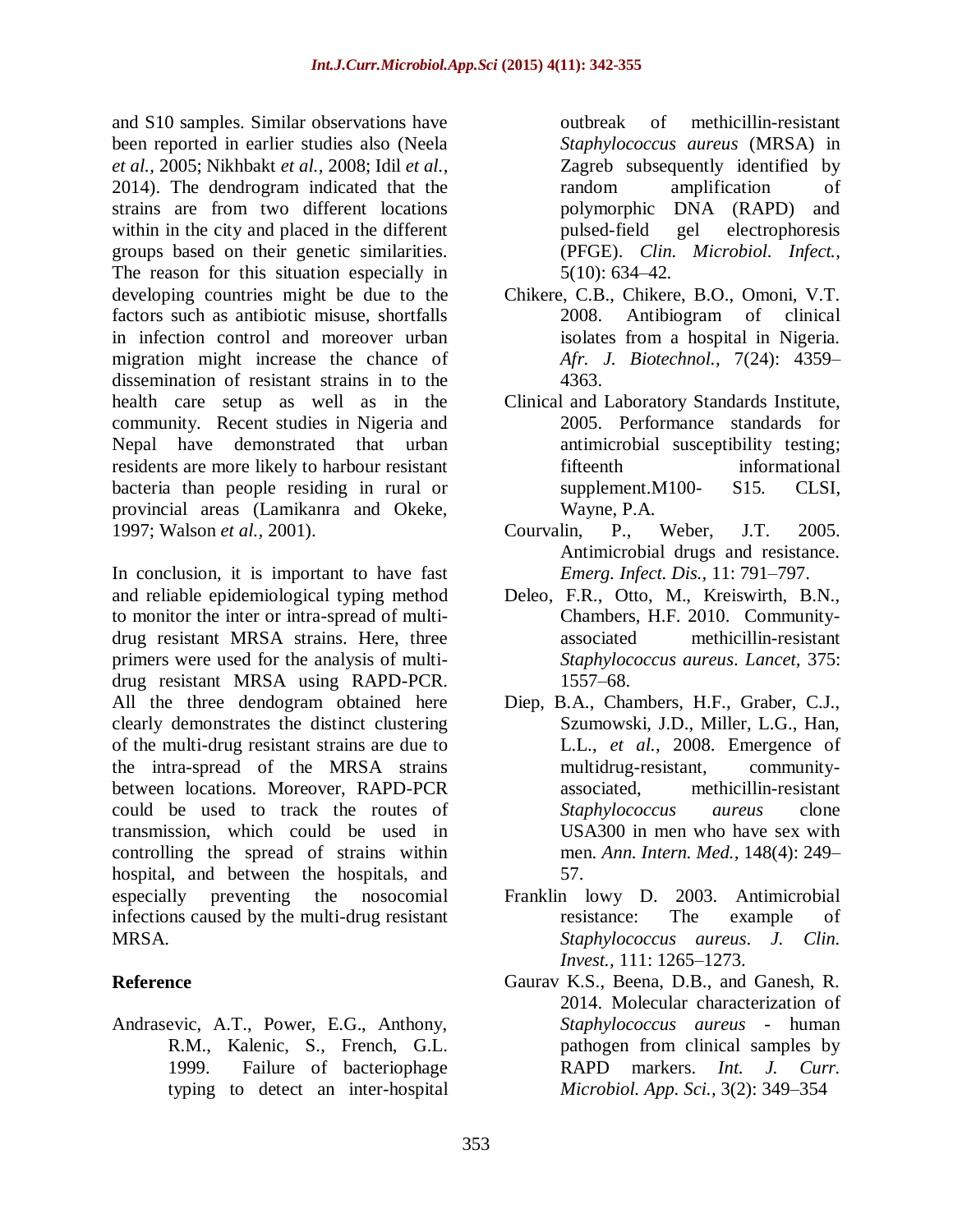and S10 samples. Similar observations have been reported in earlier studies also (Neela *et al.,* 2005; Nikhbakt *et al.,* 2008; Idil *et al.,* 2014). The dendrogram indicated that the strains are from two different locations within in the city and placed in the different groups based on their genetic similarities. The reason for this situation especially in developing countries might be due to the factors such as antibiotic misuse, shortfalls in infection control and moreover urban migration might increase the chance of dissemination of resistant strains in to the health care setup as well as in the community. Recent studies in Nigeria and Nepal have demonstrated that urban residents are more likely to harbour resistant bacteria than people residing in rural or provincial areas (Lamikanra and Okeke, 1997; Walson *et al.,* 2001).

In conclusion, it is important to have fast and reliable epidemiological typing method to monitor the inter or intra-spread of multidrug resistant MRSA strains. Here, three primers were used for the analysis of multidrug resistant MRSA using RAPD-PCR. All the three dendogram obtained here clearly demonstrates the distinct clustering of the multi-drug resistant strains are due to the intra-spread of the MRSA strains between locations. Moreover, RAPD-PCR could be used to track the routes of transmission, which could be used in controlling the spread of strains within hospital, and between the hospitals, and especially preventing the nosocomial infections caused by the multi-drug resistant MRSA.

### **Reference**

Andrasevic, A.T., Power, E.G., Anthony, R.M., Kalenic, S., French, G.L. 1999. Failure of bacteriophage typing to detect an inter-hospital outbreak of methicillin-resistant *Staphylococcus aureus* (MRSA) in Zagreb subsequently identified by random amplification of polymorphic DNA (RAPD) and pulsed-field gel electrophoresis (PFGE). *Clin. Microbiol. Infect.,*  5(10): 634–42.

- Chikere, C.B., Chikere, B.O., Omoni, V.T. 2008. Antibiogram of clinical isolates from a hospital in Nigeria. *Afr. J. Biotechnol.,* 7(24): 4359– 4363.
- Clinical and Laboratory Standards Institute, 2005. Performance standards for antimicrobial susceptibility testing; fifteenth informational supplement.M100- S15. CLSI, Wayne, P.A.
- Courvalin, P., Weber, J.T. 2005. Antimicrobial drugs and resistance. *Emerg. Infect. Dis.,* 11: 791–797.
- Deleo, F.R., Otto, M., Kreiswirth, B.N., Chambers, H.F. 2010. Communityassociated methicillin-resistant *Staphylococcus aureus*. *Lancet,* 375: 1557–68.
- Diep, B.A., Chambers, H.F., Graber, C.J., Szumowski, J.D., Miller, L.G., Han, L.L., *et al.,* 2008. Emergence of multidrug-resistant, communityassociated, methicillin-resistant *Staphylococcus aureus* clone USA300 in men who have sex with men. *Ann. Intern. Med.,* 148(4): 249– 57.
- Franklin lowy D. 2003. Antimicrobial resistance: The example of *Staphylococcus aureus*. *J. Clin. Invest.,* 111: 1265–1273.
- Gaurav K.S., Beena, D.B., and Ganesh, R. 2014. Molecular characterization of *Staphylococcus aureus* - human pathogen from clinical samples by RAPD markers. *Int. J. Curr. Microbiol. App. Sci.,* 3(2): 349–354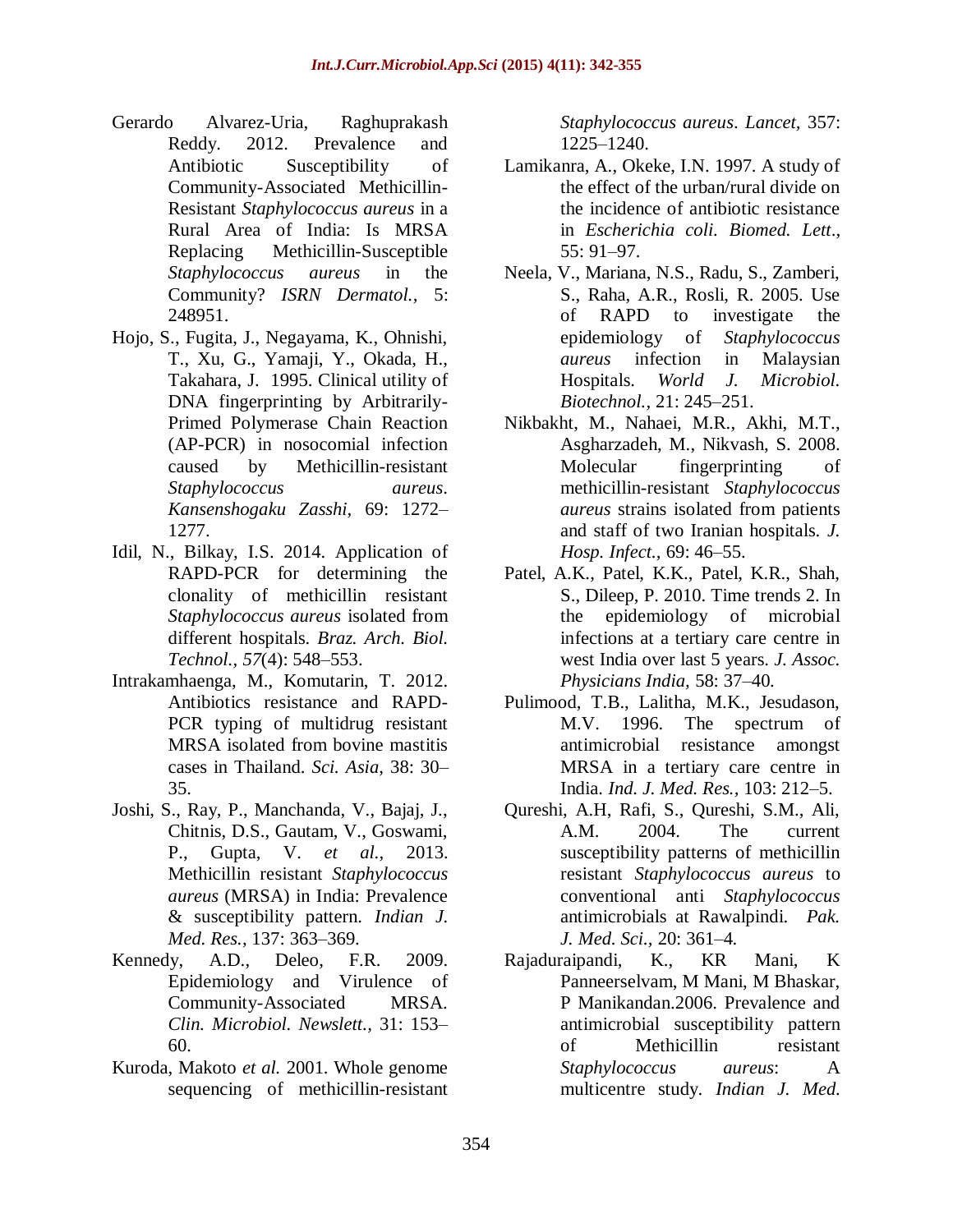- Gerardo Alvarez-Uria, Raghuprakash Reddy. 2012. Prevalence and Antibiotic Susceptibility of Community-Associated Methicillin-Resistant *Staphylococcus aureus* in a Rural Area of India: Is MRSA Replacing Methicillin-Susceptible *Staphylococcus aureus* in the Community? *ISRN Dermatol.,* 5: 248951.
- Hojo, S., Fugita, J., Negayama, K., Ohnishi, T., Xu, G., Yamaji, Y., Okada, H., Takahara, J. 1995. Clinical utility of DNA fingerprinting by Arbitrarily-Primed Polymerase Chain Reaction (AP-PCR) in nosocomial infection caused by Methicillin-resistant *Staphylococcus aureus*. *Kansenshogaku Zasshi,* 69: 1272– 1277.
- Idil, N., Bilkay, I.S. 2014. Application of RAPD-PCR for determining the clonality of methicillin resistant *Staphylococcus aureus* isolated from different hospitals. *Braz. Arch. Biol. Technol., 57*(4): 548–553.
- Intrakamhaenga, M., Komutarin, T. 2012. Antibiotics resistance and RAPD-PCR typing of multidrug resistant MRSA isolated from bovine mastitis cases in Thailand. *Sci. Asia,* 38: 30– 35.
- Joshi, S., Ray, P., Manchanda, V., Bajaj, J., Chitnis, D.S., Gautam, V., Goswami, P., Gupta, V. *et al.,* 2013. Methicillin resistant *Staphylococcus aureus* (MRSA) in India: Prevalence & susceptibility pattern. *Indian J. Med. Res.,* 137: 363–369.
- Kennedy, A.D., Deleo, F.R. 2009. Epidemiology and Virulence of Community-Associated MRSA. *Clin. Microbiol. Newslett.,* 31: 153– 60.
- Kuroda, Makoto *et al.* 2001. Whole genome sequencing of methicillin-resistant

*Staphylococcus aureus*. *Lancet,* 357: 1225–1240.

- Lamikanra, A., Okeke, I.N. 1997. A study of the effect of the urban/rural divide on the incidence of antibiotic resistance in *Escherichia coli. Biomed. Lett*., 55: 91–97.
- Neela, V., Mariana, N.S., Radu, S., Zamberi, S., Raha, A.R., Rosli, R. 2005. Use of RAPD to investigate the epidemiology of *Staphylococcus aureus* infection in Malaysian Hospitals. *World J. Microbiol. Biotechnol.,* 21: 245–251.
- Nikbakht, M., Nahaei, M.R., Akhi, M.T., Asgharzadeh, M., Nikvash, S. 2008. Molecular fingerprinting of methicillin-resistant *Staphylococcus aureus* strains isolated from patients and staff of two Iranian hospitals. *J. Hosp. Infect.,* 69: 46–55.
- Patel, A.K., Patel, K.K., Patel, K.R., Shah, S., Dileep, P. 2010. Time trends 2. In the epidemiology of microbial infections at a tertiary care centre in west India over last 5 years. *J. Assoc. Physicians India,* 58: 37–40.
- Pulimood, T.B., Lalitha, M.K., Jesudason, M.V. 1996. The spectrum of antimicrobial resistance amongst MRSA in a tertiary care centre in India. *Ind. J. Med. Res.,* 103: 212–5.
- Qureshi, A.H, Rafi, S., Qureshi, S.M., Ali, A.M. 2004. The current susceptibility patterns of methicillin resistant *Staphylococcus aureus* to conventional anti *Staphylococcus* antimicrobials at Rawalpindi. *Pak. J. Med. Sci.,* 20: 361–4.
- Rajaduraipandi, K., KR Mani, K Panneerselvam, M Mani, M Bhaskar, P Manikandan.2006. Prevalence and antimicrobial susceptibility pattern of Methicillin resistant *Staphylococcus aureus*: A multicentre study. *Indian J. Med.*